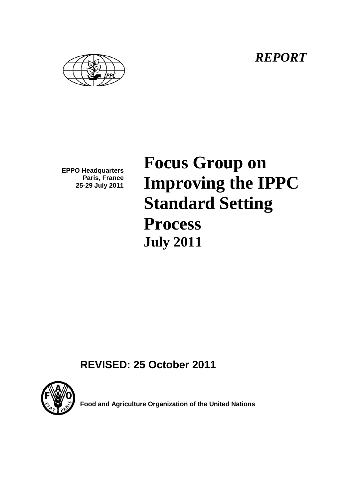*REPORT*



**EPPO Headquarters Paris, France 25-29 July 2011**

**Focus Group on Improving the IPPC Standard Setting Process July 2011**

**REVISED: 25 October 2011**



**Food and Agriculture Organization of the United Nations**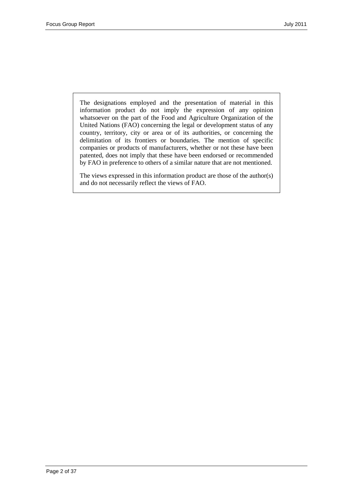The designations employed and the presentation of material in this information product do not imply the expression of any opinion whatsoever on the part of the Food and Agriculture Organization of the United Nations (FAO) concerning the legal or development status of any country, territory, city or area or of its authorities, or concerning the delimitation of its frontiers or boundaries. The mention of specific companies or products of manufacturers, whether or not these have been patented, does not imply that these have been endorsed or recommended by FAO in preference to others of a similar nature that are not mentioned.

The views expressed in this information product are those of the author(s) and do not necessarily reflect the views of FAO.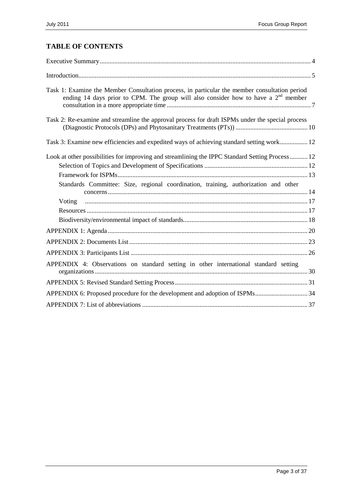# **TABLE OF CONTENTS**

| Task 1: Examine the Member Consultation process, in particular the member consultation period<br>ending 14 days prior to CPM. The group will also consider how to have a $2nd$ member            |  |
|--------------------------------------------------------------------------------------------------------------------------------------------------------------------------------------------------|--|
| Task 2: Re-examine and streamline the approval process for draft ISPMs under the special process                                                                                                 |  |
| Task 3: Examine new efficiencies and expedited ways of achieving standard setting work 12                                                                                                        |  |
| Look at other possibilities for improving and streamlining the IPPC Standard Setting Process 12<br>Standards Committee: Size, regional coordination, training, authorization and other<br>Voting |  |
|                                                                                                                                                                                                  |  |
|                                                                                                                                                                                                  |  |
|                                                                                                                                                                                                  |  |
| APPENDIX 4: Observations on standard setting in other international standard setting                                                                                                             |  |
|                                                                                                                                                                                                  |  |
|                                                                                                                                                                                                  |  |
|                                                                                                                                                                                                  |  |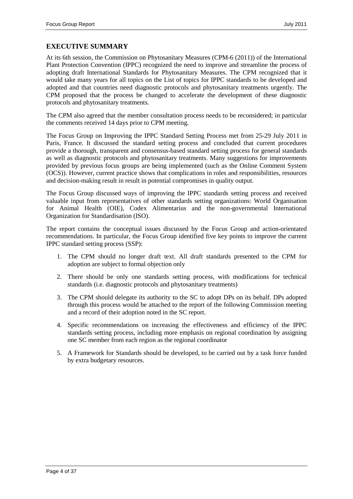# <span id="page-3-0"></span>**EXECUTIVE SUMMARY**

At its 6th session, the Commission on Phytosanitary Measures (CPM-6 (2011)) of the International Plant Protection Convention (IPPC) recognized the need to improve and streamline the process of adopting draft International Standards for Phytosanitary Measures. The CPM recognized that it would take many years for all topics on the List of topics for IPPC standards to be developed and adopted and that countries need diagnostic protocols and phytosanitary treatments urgently. The CPM proposed that the process be changed to accelerate the development of these diagnostic protocols and phytosanitary treatments.

The CPM also agreed that the member consultation process needs to be reconsidered; in particular the comments received 14 days prior to CPM meeting.

The Focus Group on Improving the IPPC Standard Setting Process met from 25-29 July 2011 in Paris, France. It discussed the standard setting process and concluded that current procedures provide a thorough, transparent and consensus-based standard setting process for general standards as well as diagnostic protocols and phytosanitary treatments. Many suggestions for improvements provided by previous focus groups are being implemented (such as the Online Comment System (OCS)). However, current practice shows that complications in roles and responsibilities, resources and decision-making result in result in potential compromises in quality output.

The Focus Group discussed ways of improving the IPPC standards setting process and received valuable input from representatives of other standards setting organizations: World Organisation for Animal Health (OIE), Codex Alimentarius and the non-governmental International Organization for Standardisation (ISO).

The report contains the conceptual issues discussed by the Focus Group and action-orientated recommendations. In particular, the Focus Group identified five key points to improve the current IPPC standard setting process (SSP):

- 1. The CPM should no longer draft text. All draft standards presented to the CPM for adoption are subject to formal objection only
- 2. There should be only one standards setting process, with modifications for technical standards (i.e. diagnostic protocols and phytosanitary treatments)
- 3. The CPM should delegate its authority to the SC to adopt DPs on its behalf. DPs adopted through this process would be attached to the report of the following Commission meeting and a record of their adoption noted in the SC report.
- 4. Specific recommendations on increasing the effectiveness and efficiency of the IPPC standards setting process, including more emphasis on regional coordination by assigning one SC member from each region as the regional coordinator
- 5. A Framework for Standards should be developed, to be carried out by a task force funded by extra budgetary resources.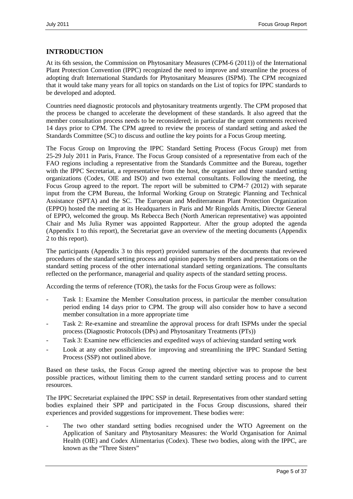# <span id="page-4-0"></span>**INTRODUCTION**

At its 6th session, the Commission on Phytosanitary Measures (CPM-6 (2011)) of the International Plant Protection Convention (IPPC) recognized the need to improve and streamline the process of adopting draft International Standards for Phytosanitary Measures (ISPM). The CPM recognized that it would take many years for all topics on standards on the List of topics for IPPC standards to be developed and adopted.

Countries need diagnostic protocols and phytosanitary treatments urgently. The CPM proposed that the process be changed to accelerate the development of these standards. It also agreed that the member consultation process needs to be reconsidered; in particular the urgent comments received 14 days prior to CPM. The CPM agreed to review the process of standard setting and asked the Standards Committee (SC) to discuss and outline the key points for a Focus Group meeting.

The Focus Group on Improving the IPPC Standard Setting Process (Focus Group) met from 25-29 July 2011 in Paris, France. The Focus Group consisted of a representative from each of the FAO regions including a representative from the Standards Committee and the Bureau, together with the IPPC Secretariat, a representative from the host, the organiser and three standard setting organizations (Codex, OIE and ISO) and two external consultants. Following the meeting, the Focus Group agreed to the report. The report will be submitted to CPM-7 (2012) with separate input from the CPM Bureau, the Informal Working Group on Strategic Planning and Technical Assistance (SPTA) and the SC. The European and Mediterranean Plant Protection Organization (EPPO) hosted the meeting at its Headquarters in Paris and Mr Ringolds Arnitis, Director General of EPPO, welcomed the group*.* Ms Rebecca Bech (North American representative) was appointed Chair and Ms Julia Rymer was appointed Rapporteur. After the group adopted the agenda (Appendix 1 to this report), the Secretariat gave an overview of the meeting documents (Appendix 2 to this report).

The participants (Appendix 3 to this report) provided summaries of the documents that reviewed procedures of the standard setting process and opinion papers by members and presentations on the standard setting process of the other international standard setting organizations. The consultants reflected on the performance, managerial and quality aspects of the standard setting process.

According the terms of reference (TOR), the tasks for the Focus Group were as follows:

- Task 1: Examine the Member Consultation process, in particular the member consultation period ending 14 days prior to CPM. The group will also consider how to have a second member consultation in a more appropriate time
- Task 2: Re-examine and streamline the approval process for draft ISPMs under the special process (Diagnostic Protocols (DPs) and Phytosanitary Treatments (PTs))
- Task 3: Examine new efficiencies and expedited ways of achieving standard setting work
- Look at any other possibilities for improving and streamlining the IPPC Standard Setting Process (SSP) not outlined above.

Based on these tasks, the Focus Group agreed the meeting objective was to propose the best possible practices, without limiting them to the current standard setting process and to current resources.

The IPPC Secretariat explained the IPPC SSP in detail. Representatives from other standard setting bodies explained their SPP and participated in the Focus Group discussions, shared their experiences and provided suggestions for improvement. These bodies were:

The two other standard setting bodies recognised under the WTO Agreement on the Application of Sanitary and Phytosanitary Measures: the World Organisation for Animal Health (OIE) and Codex Alimentarius (Codex). These two bodies, along with the IPPC, are known as the "Three Sisters"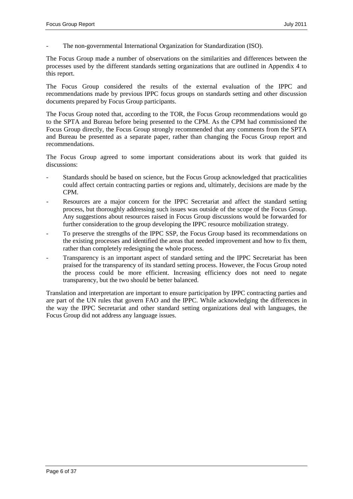The non-governmental International Organization for Standardization (ISO).

The Focus Group made a number of observations on the similarities and differences between the processes used by the different standards setting organizations that are outlined in Appendix 4 to this report.

The Focus Group considered the results of the external evaluation of the IPPC and recommendations made by previous IPPC focus groups on standards setting and other discussion documents prepared by Focus Group participants.

The Focus Group noted that, according to the TOR, the Focus Group recommendations would go to the SPTA and Bureau before being presented to the CPM. As the CPM had commissioned the Focus Group directly, the Focus Group strongly recommended that any comments from the SPTA and Bureau be presented as a separate paper, rather than changing the Focus Group report and recommendations.

The Focus Group agreed to some important considerations about its work that guided its discussions:

- Standards should be based on science, but the Focus Group acknowledged that practicalities could affect certain contracting parties or regions and, ultimately, decisions are made by the CPM.
- Resources are a major concern for the IPPC Secretariat and affect the standard setting process, but thoroughly addressing such issues was outside of the scope of the Focus Group. Any suggestions about resources raised in Focus Group discussions would be forwarded for further consideration to the group developing the IPPC resource mobilization strategy.
- To preserve the strengths of the IPPC SSP, the Focus Group based its recommendations on the existing processes and identified the areas that needed improvement and how to fix them, rather than completely redesigning the whole process.
- Transparency is an important aspect of standard setting and the IPPC Secretariat has been praised for the transparency of its standard setting process. However, the Focus Group noted the process could be more efficient. Increasing efficiency does not need to negate transparency, but the two should be better balanced.

Translation and interpretation are important to ensure participation by IPPC contracting parties and are part of the UN rules that govern FAO and the IPPC. While acknowledging the differences in the way the IPPC Secretariat and other standard setting organizations deal with languages, the Focus Group did not address any language issues.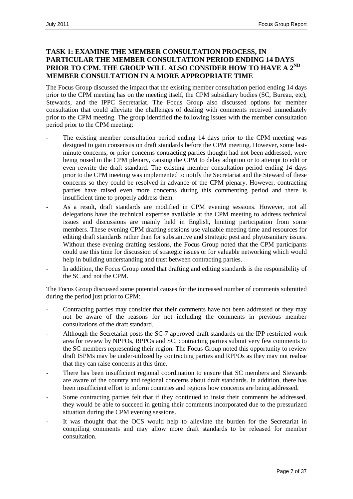# <span id="page-6-0"></span>**TASK 1: EXAMINE THE MEMBER CONSULTATION PROCESS, IN PARTICULAR THE MEMBER CONSULTATION PERIOD ENDING 14 DAYS**  PRIOR TO CPM. THE GROUP WILL ALSO CONSIDER HOW TO HAVE A 2<sup>ND</sup> **MEMBER CONSULTATION IN A MORE APPROPRIATE TIME**

The Focus Group discussed the impact that the existing member consultation period ending 14 days prior to the CPM meeting has on the meeting itself, the CPM subsidiary bodies (SC, Bureau, etc), Stewards, and the IPPC Secretariat. The Focus Group also discussed options for member consultation that could alleviate the challenges of dealing with comments received immediately prior to the CPM meeting. The group identified the following issues with the member consultation period prior to the CPM meeting:

- The existing member consultation period ending 14 days prior to the CPM meeting was designed to gain consensus on draft standards before the CPM meeting. However, some lastminute concerns, or prior concerns contracting parties thought had not been addressed, were being raised in the CPM plenary, causing the CPM to delay adoption or to attempt to edit or even rewrite the draft standard. The existing member consultation period ending 14 days prior to the CPM meeting was implemented to notify the Secretariat and the Steward of these concerns so they could be resolved in advance of the CPM plenary. However, contracting parties have raised even more concerns during this commenting period and there is insufficient time to properly address them.
- As a result, draft standards are modified in CPM evening sessions. However, not all delegations have the technical expertise available at the CPM meeting to address technical issues and discussions are mainly held in English, limiting participation from some members. These evening CPM drafting sessions use valuable meeting time and resources for editing draft standards rather than for substantive and strategic pest and phytosanitary issues. Without these evening drafting sessions, the Focus Group noted that the CPM participants could use this time for discussion of strategic issues or for valuable networking which would help in building understanding and trust between contracting parties.
- In addition, the Focus Group noted that drafting and editing standards is the responsibility of the SC and not the CPM.

The Focus Group discussed some potential causes for the increased number of comments submitted during the period just prior to CPM:

- Contracting parties may consider that their comments have not been addressed or they may not be aware of the reasons for not including the comments in previous member consultations of the draft standard.
- Although the Secretariat posts the SC-7 approved draft standards on the IPP restricted work area for review by NPPOs, RPPOs and SC, contracting parties submit very few comments to the SC members representing their region. The Focus Group noted this opportunity to review draft ISPMs may be under-utilized by contracting parties and RPPOs as they may not realise that they can raise concerns at this time.
- There has been insufficient regional coordination to ensure that SC members and Stewards are aware of the country and regional concerns about draft standards. In addition, there has been insufficient effort to inform countries and regions how concerns are being addressed.
- Some contracting parties felt that if they continued to insist their comments be addressed, they would be able to succeed in getting their comments incorporated due to the pressurized situation during the CPM evening sessions.
- It was thought that the OCS would help to alleviate the burden for the Secretariat in compiling comments and may allow more draft standards to be released for member consultation.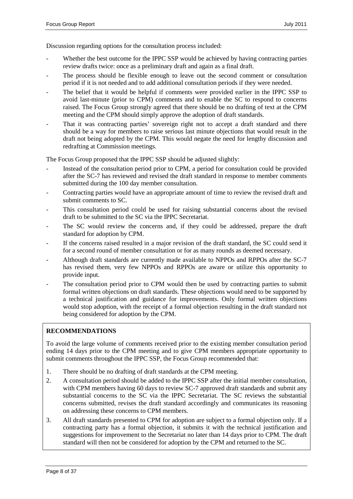Discussion regarding options for the consultation process included:

- Whether the best outcome for the IPPC SSP would be achieved by having contracting parties review drafts twice: once as a preliminary draft and again as a final draft.
- The process should be flexible enough to leave out the second comment or consultation period if it is not needed and to add additional consultation periods if they were needed.
- The belief that it would be helpful if comments were provided earlier in the IPPC SSP to avoid last-minute (prior to CPM) comments and to enable the SC to respond to concerns raised. The Focus Group strongly agreed that there should be no drafting of text at the CPM meeting and the CPM should simply approve the adoption of draft standards.
- That it was contracting parties' sovereign right not to accept a draft standard and there should be a way for members to raise serious last minute objections that would result in the draft not being adopted by the CPM. This would negate the need for lengthy discussion and redrafting at Commission meetings.

The Focus Group proposed that the IPPC SSP should be adjusted slightly:

- Instead of the consultation period prior to CPM, a period for consultation could be provided after the SC-7 has reviewed and revised the draft standard in response to member comments submitted during the 100 day member consultation.
- Contracting parties would have an appropriate amount of time to review the revised draft and submit comments to SC.
- This consultation period could be used for raising substantial concerns about the revised draft to be submitted to the SC via the IPPC Secretariat.
- The SC would review the concerns and, if they could be addressed, prepare the draft standard for adoption by CPM.
- If the concerns raised resulted in a major revision of the draft standard, the SC could send it for a second round of member consultation or for as many rounds as deemed necessary.
- Although draft standards are currently made available to NPPOs and RPPOs after the SC-7 has revised them, very few NPPOs and RPPOs are aware or utilize this opportunity to provide input.
- The consultation period prior to CPM would then be used by contracting parties to submit formal written objections on draft standards. These objections would need to be supported by a technical justification and guidance for improvements. Only formal written objections would stop adoption, with the receipt of a formal objection resulting in the draft standard not being considered for adoption by the CPM.

# **RECOMMENDATIONS**

To avoid the large volume of comments received prior to the existing member consultation period ending 14 days prior to the CPM meeting and to give CPM members appropriate opportunity to submit comments throughout the IPPC SSP, the Focus Group recommended that:

- 1. There should be no drafting of draft standards at the CPM meeting.
- 2. A consultation period should be added to the IPPC SSP after the initial member consultation, with CPM members having 60 days to review SC-7 approved draft standards and submit any substantial concerns to the SC via the IPPC Secretariat. The SC reviews the substantial concerns submitted, revises the draft standard accordingly and communicates its reasoning on addressing these concerns to CPM members.
- 3. All draft standards presented to CPM for adoption are subject to a formal objection only. If a contracting party has a formal objection, it submits it with the technical justification and suggestions for improvement to the Secretariat no later than 14 days prior to CPM. The draft standard will then not be considered for adoption by the CPM and returned to the SC.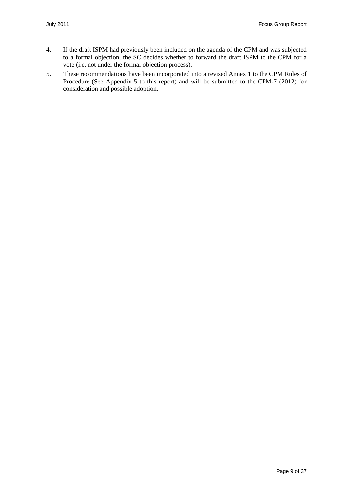- 4. If the draft ISPM had previously been included on the agenda of the CPM and was subjected to a formal objection, the SC decides whether to forward the draft ISPM to the CPM for a vote (i.e. not under the formal objection process).
- 5. These recommendations have been incorporated into a revised Annex 1 to the CPM Rules of Procedure (See Appendix 5 to this report) and will be submitted to the CPM-7 (2012) for consideration and possible adoption.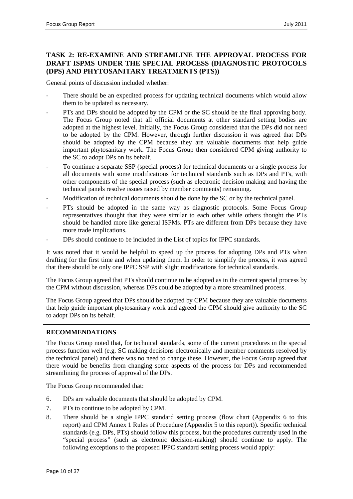# <span id="page-9-0"></span>**TASK 2: RE-EXAMINE AND STREAMLINE THE APPROVAL PROCESS FOR DRAFT ISPMS UNDER THE SPECIAL PROCESS (DIAGNOSTIC PROTOCOLS (DPS) AND PHYTOSANITARY TREATMENTS (PTS))**

General points of discussion included whether:

- There should be an expedited process for updating technical documents which would allow them to be updated as necessary.
- PTs and DPs should be adopted by the CPM or the SC should be the final approving body. The Focus Group noted that all official documents at other standard setting bodies are adopted at the highest level. Initially, the Focus Group considered that the DPs did not need to be adopted by the CPM. However, through further discussion it was agreed that DPs should be adopted by the CPM because they are valuable documents that help guide important phytosanitary work. The Focus Group then considered CPM giving authority to the SC to adopt DPs on its behalf.
- To continue a separate SSP (special process) for technical documents or a single process for all documents with some modifications for technical standards such as DPs and PTs, with other components of the special process (such as electronic decision making and having the technical panels resolve issues raised by member comments) remaining.
- Modification of technical documents should be done by the SC or by the technical panel.
- PTs should be adopted in the same way as diagnostic protocols. Some Focus Group representatives thought that they were similar to each other while others thought the PTs should be handled more like general ISPMs. PTs are different from DPs because they have more trade implications.
- DPs should continue to be included in the List of topics for IPPC standards.

It was noted that it would be helpful to speed up the process for adopting DPs and PTs when drafting for the first time and when updating them. In order to simplify the process, it was agreed that there should be only one IPPC SSP with slight modifications for technical standards.

The Focus Group agreed that PTs should continue to be adopted as in the current special process by the CPM without discussion, whereas DPs could be adopted by a more streamlined process.

The Focus Group agreed that DPs should be adopted by CPM because they are valuable documents that help guide important phytosanitary work and agreed the CPM should give authority to the SC to adopt DPs on its behalf.

### **RECOMMENDATIONS**

The Focus Group noted that, for technical standards, some of the current procedures in the special process function well (e.g. SC making decisions electronically and member comments resolved by the technical panel) and there was no need to change these. However, the Focus Group agreed that there would be benefits from changing some aspects of the process for DPs and recommended streamlining the process of approval of the DPs.

The Focus Group recommended that:

- 6. DPs are valuable documents that should be adopted by CPM.
- 7. PTs to continue to be adopted by CPM.
- 8. There should be a single IPPC standard setting process (flow chart (Appendix 6 to this report) and CPM Annex 1 Rules of Procedure (Appendix 5 to this report)). Specific technical standards (e.g. DPs, PTs) should follow this process, but the procedures currently used in the "special process" (such as electronic decision-making) should continue to apply. The following exceptions to the proposed IPPC standard setting process would apply: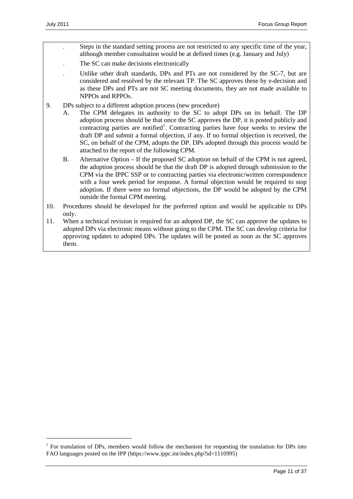- . Steps in the standard setting process are not restricted to any specific time of the year, although member consultation would be at defined times (e.g. January and July)
- The SC can make decisions electronically
- . Unlike other draft standards, DPs and PTs are not considered by the SC-7, but are considered and resolved by the relevant TP. The SC approves these by e-decision and as these DPs and PTs are not SC meeting documents, they are not made available to NPPOs and RPPOs.
- 9. DPs subject to a different adoption process (new procedure)
	- A. The CPM delegates its authority to the SC to adopt DPs on its behalf. The DP adoption process should be that once the SC approves the DP, it is posted publicly and contracting parties are notified<sup>[1](#page-10-0)</sup>. Contracting parties have four weeks to review the draft DP and submit a formal objection, if any. If no formal objection is received, the SC, on behalf of the CPM, adopts the DP. DPs adopted through this process would be attached to the report of the following CPM.
	- B. Alternative Option If the proposed SC adoption on behalf of the CPM is not agreed, the adoption process should be that the draft DP is adopted through submission to the CPM via the IPPC SSP or to contracting parties via electronic/written correspondence with a four week period for response. A formal objection would be required to stop adoption. If there were no formal objections, the DP would be adopted by the CPM outside the formal CPM meeting.
- 10. Procedures should be developed for the preferred option and would be applicable to DPs only.
- 11. When a technical revision is required for an adopted DP, the SC can approve the updates to adopted DPs via electronic means without going to the CPM. The SC can develop criteria for approving updates to adopted DPs. The updates will be posted as soon as the SC approves them.

<span id="page-10-0"></span><sup>&</sup>lt;sup>1</sup> For translation of DPs, members would follow the mechanism for requesting the translation for DPs into FAO languages posted on the IPP (https://www.ippc.int/index.php?id=1110995)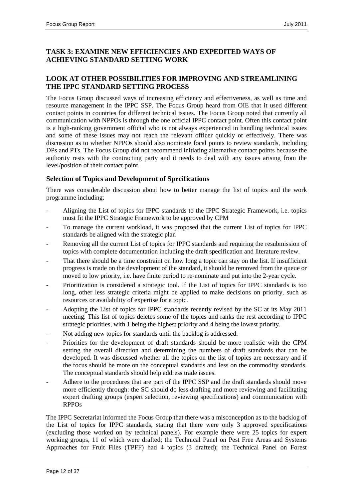# <span id="page-11-0"></span>**TASK 3: EXAMINE NEW EFFICIENCIES AND EXPEDITED WAYS OF ACHIEVING STANDARD SETTING WORK**

# <span id="page-11-1"></span>**LOOK AT OTHER POSSIBILITIES FOR IMPROVING AND STREAMLINING THE IPPC STANDARD SETTING PROCESS**

The Focus Group discussed ways of increasing efficiency and effectiveness, as well as time and resource management in the IPPC SSP. The Focus Group heard from OIE that it used different contact points in countries for different technical issues. The Focus Group noted that currently all communication with NPPOs is through the one official IPPC contact point. Often this contact point is a high-ranking government official who is not always experienced in handling technical issues and some of these issues may not reach the relevant officer quickly or effectively. There was discussion as to whether NPPOs should also nominate focal points to review standards, including DPs and PTs. The Focus Group did not recommend initiating alternative contact points because the authority rests with the contracting party and it needs to deal with any issues arising from the level/position of their contact point.

# <span id="page-11-2"></span>**Selection of Topics and Development of Specifications**

There was considerable discussion about how to better manage the list of topics and the work programme including:

- Aligning the List of topics for IPPC standards to the IPPC Strategic Framework, i.e. topics must fit the IPPC Strategic Framework to be approved by CPM
- To manage the current workload, it was proposed that the current List of topics for IPPC standards be aligned with the strategic plan
- Removing all the current List of topics for IPPC standards and requiring the resubmission of topics with complete documentation including the draft specification and literature review.
- That there should be a time constraint on how long a topic can stay on the list. If insufficient progress is made on the development of the standard, it should be removed from the queue or moved to low priority, i.e. have finite period to re-nominate and put into the 2-year cycle.
- Prioritization is considered a strategic tool. If the List of topics for IPPC standards is too long, other less strategic criteria might be applied to make decisions on priority, such as resources or availability of expertise for a topic.
- Adopting the List of topics for IPPC standards recently revised by the SC at its May 2011 meeting. This list of topics deletes some of the topics and ranks the rest according to IPPC strategic priorities, with 1 being the highest priority and 4 being the lowest priority.
- Not adding new topics for standards until the backlog is addressed.
- Priorities for the development of draft standards should be more realistic with the CPM setting the overall direction and determining the numbers of draft standards that can be developed. It was discussed whether all the topics on the list of topics are necessary and if the focus should be more on the conceptual standards and less on the commodity standards. The conceptual standards should help address trade issues.
- Adhere to the procedures that are part of the IPPC SSP and the draft standards should move more efficiently through: the SC should do less drafting and more reviewing and facilitating expert drafting groups (expert selection, reviewing specifications) and communication with RPPOs

The IPPC Secretariat informed the Focus Group that there was a misconception as to the backlog of the List of topics for IPPC standards, stating that there were only 3 approved specifications (excluding those worked on by technical panels). For example there were 25 topics for expert working groups, 11 of which were drafted; the Technical Panel on Pest Free Areas and Systems Approaches for Fruit Flies (TPFF) had 4 topics (3 drafted); the Technical Panel on Forest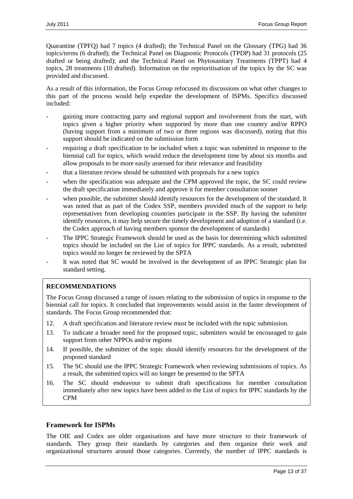Quarantine (TPFQ) had 7 topics (4 drafted); the Technical Panel on the Glossary (TPG) had 36 topics/terms (6 drafted); the Technical Panel on Diagnostic Protocols (TPDP) had 31 protocols (25 drafted or being drafted); and the Technical Panel on Phytosanitary Treatments (TPPT) had 4 topics, 28 treatments (10 drafted). Information on the reprioritisation of the topics by the SC was provided and discussed.

As a result of this information, the Focus Group refocused its discussions on what other changes to this part of the process would help expedite the development of ISPMs. Specifics discussed included:

- gaining more contracting party and regional support and involvement from the start, with topics given a higher priority when supported by more than one country and/or RPPO (having support from a minimum of two or three regions was discussed), noting that this support should be indicated on the submission form
- requiring a draft specification to be included when a topic was submitted in response to the biennial call for topics, which would reduce the development time by about six months and allow proposals to be more easily assessed for their relevance and feasibility
- that a literature review should be submitted with proposals for a new topics
- when the specification was adequate and the CPM approved the topic, the SC could review the draft specification immediately and approve it for member consultation sooner
- when possible, the submitter should identify resources for the development of the standard. It was noted that as part of the Codex SSP, members provided much of the support to help representatives from developing countries participate in the SSP. By having the submitter identify resources, it may help secure the timely development and adoption of a standard (i.e. the Codex approach of having members sponsor the development of standards)
- The IPPC Strategic Framework should be used as the basis for determining which submitted topics should be included on the List of topics for IPPC standards. As a result, submitted topics would no longer be reviewed by the SPTA
- It was noted that SC would be involved in the development of an IPPC Strategic plan for standard setting.

# **RECOMMENDATIONS**

The Focus Group discussed a range of issues relating to the submission of topics in response to the biennial call for topics. It concluded that improvements would assist in the faster development of standards. The Focus Group recommended that:

- 12. A draft specification and literature review must be included with the topic submission.
- 13. To indicate a broader need for the proposed topic, submitters would be encouraged to gain support from other NPPOs and/or regions
- 14. If possible, the submitter of the topic should identify resources for the development of the proposed standard
- 15. The SC should use the IPPC Strategic Framework when reviewing submissions of topics. As a result, the submitted topics will no longer be presented to the SPTA
- 16. The SC should endeavour to submit draft specifications for member consultation immediately after new topics have been added to the List of topics for IPPC standards by the CPM

### <span id="page-12-0"></span>**Framework for ISPMs**

The OIE and Codex are older organisations and have more structure to their framework of standards. They group their standards by categories and then organize their work and organizational structures around those categories. Currently, the number of IPPC standards is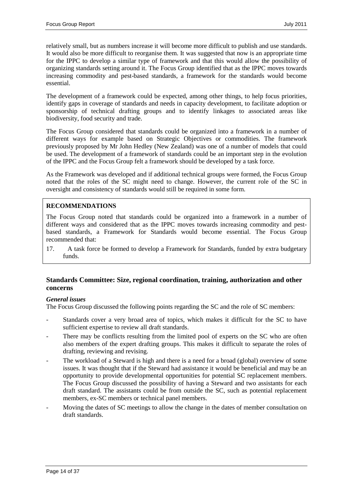relatively small, but as numbers increase it will become more difficult to publish and use standards. It would also be more difficult to reorganise them. It was suggested that now is an appropriate time for the IPPC to develop a similar type of framework and that this would allow the possibility of organizing standards setting around it. The Focus Group identified that as the IPPC moves towards increasing commodity and pest-based standards, a framework for the standards would become essential.

The development of a framework could be expected, among other things, to help focus priorities, identify gaps in coverage of standards and needs in capacity development, to facilitate adoption or sponsorship of technical drafting groups and to identify linkages to associated areas like biodiversity, food security and trade.

The Focus Group considered that standards could be organized into a framework in a number of different ways for example based on Strategic Objectives or commodities. The framework previously proposed by Mr John Hedley (New Zealand) was one of a number of models that could be used. The development of a framework of standards could be an important step in the evolution of the IPPC and the Focus Group felt a framework should be developed by a task force.

As the Framework was developed and if additional technical groups were formed, the Focus Group noted that the roles of the SC might need to change. However, the current role of the SC in oversight and consistency of standards would still be required in some form.

# **RECOMMENDATIONS**

The Focus Group noted that standards could be organized into a framework in a number of different ways and considered that as the IPPC moves towards increasing commodity and pestbased standards, a Framework for Standards would become essential. The Focus Group recommended that:

17. A task force be formed to develop a Framework for Standards, funded by extra budgetary funds.

### <span id="page-13-0"></span>**Standards Committee: Size, regional coordination, training, authorization and other concerns**

### *General issues*

The Focus Group discussed the following points regarding the SC and the role of SC members:

- Standards cover a very broad area of topics, which makes it difficult for the SC to have sufficient expertise to review all draft standards.
- There may be conflicts resulting from the limited pool of experts on the SC who are often also members of the expert drafting groups. This makes it difficult to separate the roles of drafting, reviewing and revising.
- The workload of a Steward is high and there is a need for a broad (global) overview of some issues. It was thought that if the Steward had assistance it would be beneficial and may be an opportunity to provide developmental opportunities for potential SC replacement members. The Focus Group discussed the possibility of having a Steward and two assistants for each draft standard. The assistants could be from outside the SC, such as potential replacement members, ex-SC members or technical panel members.
- Moving the dates of SC meetings to allow the change in the dates of member consultation on draft standards.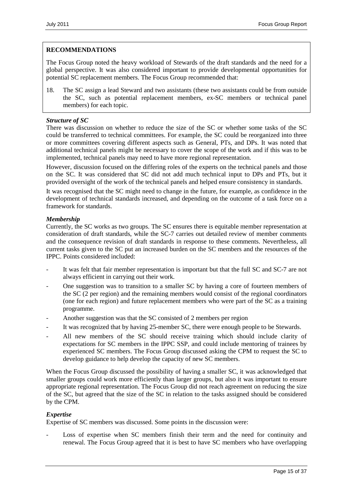### **RECOMMENDATIONS**

The Focus Group noted the heavy workload of Stewards of the draft standards and the need for a global perspective. It was also considered important to provide developmental opportunities for potential SC replacement members. The Focus Group recommended that:

18. The SC assign a lead Steward and two assistants (these two assistants could be from outside the SC, such as potential replacement members, ex-SC members or technical panel members) for each topic.

### *Structure of SC*

There was discussion on whether to reduce the size of the SC or whether some tasks of the SC could be transferred to technical committees. For example, the SC could be reorganized into three or more committees covering different aspects such as General, PTs, and DPs. It was noted that additional technical panels might be necessary to cover the scope of the work and if this was to be implemented, technical panels may need to have more regional representation.

However, discussion focused on the differing roles of the experts on the technical panels and those on the SC. It was considered that SC did not add much technical input to DPs and PTs, but it provided oversight of the work of the technical panels and helped ensure consistency in standards.

It was recognised that the SC might need to change in the future, for example, as confidence in the development of technical standards increased, and depending on the outcome of a task force on a framework for standards.

### *Membership*

Currently, the SC works as two groups. The SC ensures there is equitable member representation at consideration of draft standards, while the SC-7 carries out detailed review of member comments and the consequence revision of draft standards in response to these comments. Nevertheless, all current tasks given to the SC put an increased burden on the SC members and the resources of the IPPC. Points considered included:

- It was felt that fair member representation is important but that the full SC and SC-7 are not always efficient in carrying out their work.
- One suggestion was to transition to a smaller SC by having a core of fourteen members of the SC (2 per region) and the remaining members would consist of the regional coordinators (one for each region) and future replacement members who were part of the SC as a training programme.
- Another suggestion was that the SC consisted of 2 members per region
- It was recognized that by having 25-member SC, there were enough people to be Stewards.
- All new members of the SC should receive training which should include clarity of expectations for SC members in the IPPC SSP, and could include mentoring of trainees by experienced SC members. The Focus Group discussed asking the CPM to request the SC to develop guidance to help develop the capacity of new SC members.

When the Focus Group discussed the possibility of having a smaller SC, it was acknowledged that smaller groups could work more efficiently than larger groups, but also it was important to ensure appropriate regional representation. The Focus Group did not reach agreement on reducing the size of the SC, but agreed that the size of the SC in relation to the tasks assigned should be considered by the CPM.

### *Expertise*

Expertise of SC members was discussed. Some points in the discussion were:

Loss of expertise when SC members finish their term and the need for continuity and renewal. The Focus Group agreed that it is best to have SC members who have overlapping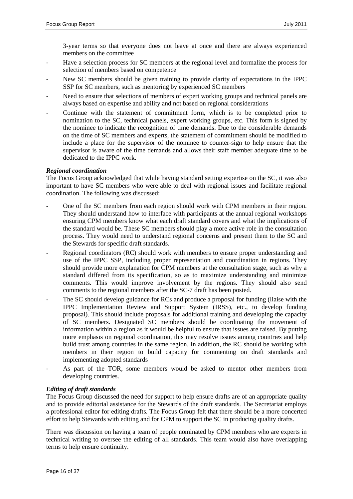3-year terms so that everyone does not leave at once and there are always experienced members on the committee

- Have a selection process for SC members at the regional level and formalize the process for selection of members based on competence
- New SC members should be given training to provide clarity of expectations in the IPPC SSP for SC members, such as mentoring by experienced SC members
- Need to ensure that selections of members of expert working groups and technical panels are always based on expertise and ability and not based on regional considerations
- Continue with the statement of commitment form, which is to be completed prior to nomination to the SC, technical panels, expert working groups, etc. This form is signed by the nominee to indicate the recognition of time demands. Due to the considerable demands on the time of SC members and experts, the statement of commitment should be modified to include a place for the supervisor of the nominee to counter-sign to help ensure that the supervisor is aware of the time demands and allows their staff member adequate time to be dedicated to the IPPC work.

### *Regional coordination*

The Focus Group acknowledged that while having standard setting expertise on the SC, it was also important to have SC members who were able to deal with regional issues and facilitate regional coordination. The following was discussed:

- One of the SC members from each region should work with CPM members in their region. They should understand how to interface with participants at the annual regional workshops ensuring CPM members know what each draft standard covers and what the implications of the standard would be. These SC members should play a more active role in the consultation process. They would need to understand regional concerns and present them to the SC and the Stewards for specific draft standards.
- Regional coordinators (RC) should work with members to ensure proper understanding and use of the IPPC SSP, including proper representation and coordination in regions. They should provide more explanation for CPM members at the consultation stage, such as why a standard differed from its specification, so as to maximize understanding and minimize comments. This would improve involvement by the regions. They should also send comments to the regional members after the SC-7 draft has been posted.
- The SC should develop guidance for RCs and produce a proposal for funding (liaise with the IPPC Implementation Review and Support System (IRSS), etc., to develop funding proposal). This should include proposals for additional training and developing the capacity of SC members. Designated SC members should be coordinating the movement of information within a region as it would be helpful to ensure that issues are raised. By putting more emphasis on regional coordination, this may resolve issues among countries and help build trust among countries in the same region. In addition, the RC should be working with members in their region to build capacity for commenting on draft standards and implementing adopted standards
- As part of the TOR, some members would be asked to mentor other members from developing countries.

### *Editing of draft standards*

The Focus Group discussed the need for support to help ensure drafts are of an appropriate quality and to provide editorial assistance for the Stewards of the draft standards. The Secretariat employs a professional editor for editing drafts. The Focus Group felt that there should be a more concerted effort to help Stewards with editing and for CPM to support the SC in producing quality drafts.

There was discussion on having a team of people nominated by CPM members who are experts in technical writing to oversee the editing of all standards. This team would also have overlapping terms to help ensure continuity.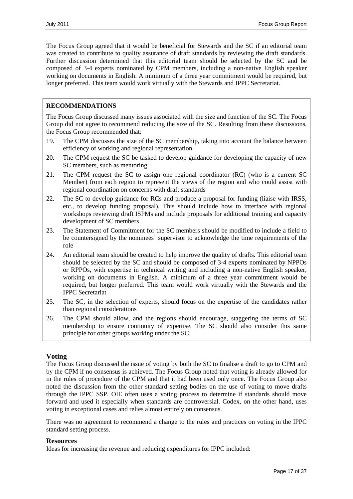The Focus Group agreed that it would be beneficial for Stewards and the SC if an editorial team was created to contribute to quality assurance of draft standards by reviewing the draft standards. Further discussion determined that this editorial team should be selected by the SC and be composed of 3-4 experts nominated by CPM members, including a non-native English speaker working on documents in English. A minimum of a three year commitment would be required, but longer preferred. This team would work virtually with the Stewards and IPPC Secretariat.

## **RECOMMENDATIONS**

The Focus Group discussed many issues associated with the size and function of the SC. The Focus Group did not agree to recommend reducing the size of the SC. Resulting from these discussions, the Focus Group recommended that:

- 19. The CPM discusses the size of the SC membership, taking into account the balance between efficiency of working and regional representation
- 20. The CPM request the SC be tasked to develop guidance for developing the capacity of new SC members, such as mentoring.
- 21. The CPM request the SC to assign one regional coordinator (RC) (who is a current SC Member) from each region to represent the views of the region and who could assist with regional coordination on concerns with draft standards
- 22. The SC to develop guidance for RCs and produce a proposal for funding (liaise with IRSS, etc., to develop funding proposal). This should include how to interface with regional workshops reviewing draft ISPMs and include proposals for additional training and capacity development of SC members
- 23. The Statement of Commitment for the SC members should be modified to include a field to be countersigned by the nominees' supervisor to acknowledge the time requirements of the role
- 24. An editorial team should be created to help improve the quality of drafts. This editorial team should be selected by the SC and should be composed of 3-4 experts nominated by NPPOs or RPPOs, with expertise in technical writing and including a non-native English speaker, working on documents in English. A minimum of a three year commitment would be required, but longer preferred. This team would work virtually with the Stewards and the IPPC Secretariat
- 25. The SC, in the selection of experts, should focus on the expertise of the candidates rather than regional considerations
- 26. The CPM should allow, and the regions should encourage, staggering the terms of SC membership to ensure continuity of expertise. The SC should also consider this same principle for other groups working under the SC.

### <span id="page-16-0"></span>**Voting**

The Focus Group discussed the issue of voting by both the SC to finalise a draft to go to CPM and by the CPM if no consensus is achieved. The Focus Group noted that voting is already allowed for in the rules of procedure of the CPM and that it had been used only once. The Focus Group also noted the discussion from the other standard setting bodies on the use of voting to move drafts through the IPPC SSP. OIE often uses a voting process to determine if standards should move forward and used it especially when standards are controversial. Codex, on the other hand, uses voting in exceptional cases and relies almost entirely on consensus.

There was no agreement to recommend a change to the rules and practices on voting in the IPPC standard setting process.

### <span id="page-16-1"></span>**Resources**

Ideas for increasing the revenue and reducing expenditures for IPPC included: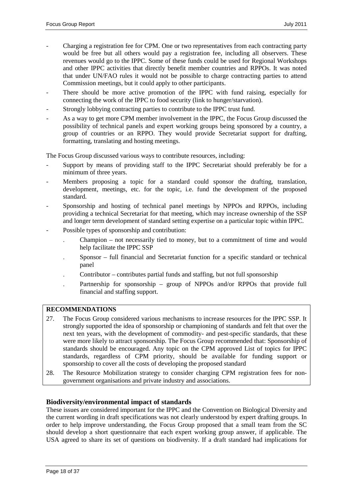- Charging a registration fee for CPM. One or two representatives from each contracting party would be free but all others would pay a registration fee, including all observers. These revenues would go to the IPPC. Some of these funds could be used for Regional Workshops and other IPPC activities that directly benefit member countries and RPPOs. It was noted that under UN/FAO rules it would not be possible to charge contracting parties to attend Commission meetings, but it could apply to other participants.
- There should be more active promotion of the IPPC with fund raising, especially for connecting the work of the IPPC to food security (link to hunger/starvation).
- Strongly lobbying contracting parties to contribute to the IPPC trust fund.
- As a way to get more CPM member involvement in the IPPC, the Focus Group discussed the possibility of technical panels and expert working groups being sponsored by a country, a group of countries or an RPPO. They would provide Secretariat support for drafting, formatting, translating and hosting meetings.

The Focus Group discussed various ways to contribute resources, including:

- Support by means of providing staff to the IPPC Secretariat should preferably be for a minimum of three years.
- Members proposing a topic for a standard could sponsor the drafting, translation, development, meetings, etc. for the topic, i.e. fund the development of the proposed standard.
- Sponsorship and hosting of technical panel meetings by NPPOs and RPPOs, including providing a technical Secretariat for that meeting, which may increase ownership of the SSP and longer term development of standard setting expertise on a particular topic within IPPC.
- Possible types of sponsorship and contribution:
	- . Champion not necessarily tied to money, but to a commitment of time and would help facilitate the IPPC SSP
	- . Sponsor full financial and Secretariat function for a specific standard or technical panel
	- . Contributor contributes partial funds and staffing, but not full sponsorship
	- Partnership for sponsorship group of NPPOs and/or RPPOs that provide full financial and staffing support.

### **RECOMMENDATIONS**

- 27. The Focus Group considered various mechanisms to increase resources for the IPPC SSP. It strongly supported the idea of sponsorship or championing of standards and felt that over the next ten years, with the development of commodity- and pest-specific standards, that these were more likely to attract sponsorship. The Focus Group recommended that: Sponsorship of standards should be encouraged. Any topic on the CPM approved List of topics for IPPC standards, regardless of CPM priority, should be available for funding support or sponsorship to cover all the costs of developing the proposed standard
- 28. The Resource Mobilization strategy to consider charging CPM registration fees for nongovernment organisations and private industry and associations.

### <span id="page-17-0"></span>**Biodiversity/environmental impact of standards**

These issues are considered important for the IPPC and the Convention on Biological Diversity and the current wording in draft specifications was not clearly understood by expert drafting groups. In order to help improve understanding, the Focus Group proposed that a small team from the SC should develop a short questionnaire that each expert working group answer, if applicable. The USA agreed to share its set of questions on biodiversity. If a draft standard had implications for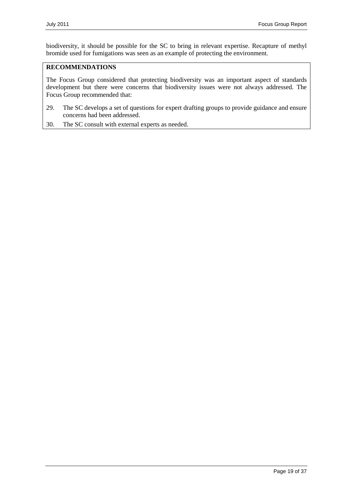biodiversity, it should be possible for the SC to bring in relevant expertise. Recapture of methyl bromide used for fumigations was seen as an example of protecting the environment.

## **RECOMMENDATIONS**

The Focus Group considered that protecting biodiversity was an important aspect of standards development but there were concerns that biodiversity issues were not always addressed. The Focus Group recommended that:

- 29. The SC develops a set of questions for expert drafting groups to provide guidance and ensure concerns had been addressed.
- 30. The SC consult with external experts as needed.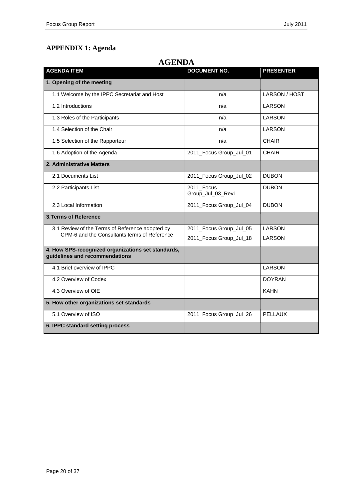# <span id="page-19-0"></span>**APPENDIX 1: Agenda**

| <b>AGENDA ITEM</b>                                                                   | <b>DOCUMENT NO.</b>             | <b>PRESENTER</b> |
|--------------------------------------------------------------------------------------|---------------------------------|------------------|
| 1. Opening of the meeting                                                            |                                 |                  |
| 1.1 Welcome by the IPPC Secretariat and Host                                         | n/a                             | LARSON / HOST    |
| 1.2 Introductions                                                                    | n/a                             | LARSON           |
| 1.3 Roles of the Participants                                                        | n/a                             | <b>LARSON</b>    |
| 1.4 Selection of the Chair                                                           | n/a                             | <b>LARSON</b>    |
| 1.5 Selection of the Rapporteur                                                      | n/a                             | <b>CHAIR</b>     |
| 1.6 Adoption of the Agenda                                                           | 2011_Focus Group_Jul_01         | <b>CHAIR</b>     |
| 2. Administrative Matters                                                            |                                 |                  |
| 2.1 Documents List                                                                   | 2011_Focus Group_Jul_02         | <b>DUBON</b>     |
| 2.2 Participants List                                                                | 2011_Focus<br>Group_Jul_03_Rev1 | <b>DUBON</b>     |
| 2.3 Local Information                                                                | 2011_Focus Group_Jul_04         | <b>DUBON</b>     |
| <b>3. Terms of Reference</b>                                                         |                                 |                  |
| 3.1 Review of the Terms of Reference adopted by                                      | 2011_Focus Group_Jul_05         | LARSON           |
| CPM-6 and the Consultants terms of Reference                                         | 2011_Focus Group_Jul_18         | LARSON           |
| 4. How SPS-recognized organizations set standards,<br>guidelines and recommendations |                                 |                  |
| 4.1 Brief overview of IPPC                                                           |                                 | <b>LARSON</b>    |
| 4.2 Overview of Codex                                                                |                                 | <b>DOYRAN</b>    |
| 4.3 Overview of OIE                                                                  |                                 | <b>KAHN</b>      |
| 5. How other organizations set standards                                             |                                 |                  |
| 5.1 Overview of ISO                                                                  | 2011_Focus Group_Jul_26         | <b>PELLAUX</b>   |
| 6. IPPC standard setting process                                                     |                                 |                  |

# **AGENDA**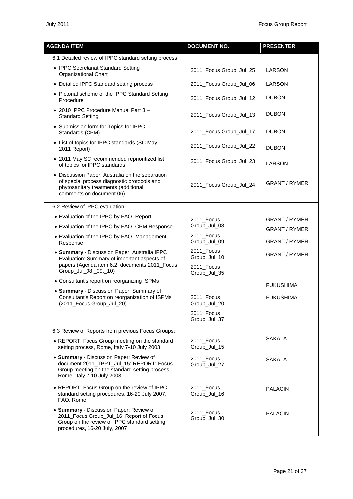| <b>AGENDA ITEM</b>                                                                                                                                                  | <b>DOCUMENT NO.</b>        | <b>PRESENTER</b>     |
|---------------------------------------------------------------------------------------------------------------------------------------------------------------------|----------------------------|----------------------|
| 6.1 Detailed review of IPPC standard setting process:                                                                                                               |                            |                      |
| • IPPC Secretariat Standard Setting<br>Organizational Chart                                                                                                         | 2011_Focus Group_Jul_25    | LARSON               |
| • Detailed IPPC Standard setting process                                                                                                                            | 2011_Focus Group_Jul_06    | LARSON               |
| • Pictorial scheme of the IPPC Standard Setting<br>Procedure                                                                                                        | 2011_Focus Group_Jul_12    | <b>DUBON</b>         |
| • 2010 IPPC Procedure Manual Part 3-<br><b>Standard Setting</b>                                                                                                     | 2011_Focus Group_Jul_13    | <b>DUBON</b>         |
| • Submission form for Topics for IPPC<br>Standards (CPM)                                                                                                            | 2011_Focus Group_Jul_17    | <b>DUBON</b>         |
| • List of topics for IPPC standards (SC May<br>2011 Report)                                                                                                         | 2011_Focus Group_Jul_22    | <b>DUBON</b>         |
| • 2011 May SC recommended reprioritized list<br>of topics for IPPC standards                                                                                        | 2011_Focus Group_Jul_23    | LARSON               |
| • Discussion Paper: Australia on the separation<br>of special process diagnostic protocols and<br>phytosanitary treatments (additional<br>comments on document 06)  | 2011_Focus Group_Jul_24    | <b>GRANT / RYMER</b> |
| 6.2 Review of IPPC evaluation:                                                                                                                                      |                            |                      |
| • Evaluation of the IPPC by FAO- Report                                                                                                                             | 2011_Focus                 | GRANT / RYMER        |
| • Evaluation of the IPPC by FAO- CPM Response                                                                                                                       | Group_Jul_08               | <b>GRANT / RYMER</b> |
| • Evaluation of the IPPC by FAO- Management<br>Response                                                                                                             | 2011 Focus<br>Group_Jul_09 | <b>GRANT / RYMER</b> |
| • Summary - Discussion Paper: Australia IPPC<br>Evaluation: Summary of important aspects of                                                                         | 2011 Focus<br>Group_Jul_10 | <b>GRANT / RYMER</b> |
| papers (Agenda item 6.2, documents 2011_Focus<br>Group Jul 08, 09, 10)                                                                                              | 2011_Focus<br>Group_Jul_35 |                      |
| • Consultant's report on reorganizing ISPMs                                                                                                                         |                            | <b>FUKUSHIMA</b>     |
| • Summary - Discussion Paper: Summary of<br>Consultant's Report on reorganization of ISPMs<br>(2011_Focus Group_Jul_20)                                             | 2011_Focus<br>Group_Jul_20 | <b>FUKUSHIMA</b>     |
|                                                                                                                                                                     | 2011_Focus<br>Group_Jul_37 |                      |
| 6.3 Review of Reports from previous Focus Groups:                                                                                                                   |                            |                      |
| • REPORT: Focus Group meeting on the standard<br>setting process, Rome, Italy 7-10 July 2003                                                                        | 2011_Focus<br>Group_Jul_15 | <b>SAKALA</b>        |
| • Summary - Discussion Paper: Review of<br>document 2011_TPPT_Jul_15: REPORT: Focus<br>Group meeting on the standard setting process,<br>Rome, Italy 7-10 July 2003 | 2011_Focus<br>Group_Jul_27 | <b>SAKALA</b>        |
| • REPORT: Focus Group on the review of IPPC<br>standard setting procedures, 16-20 July 2007,<br>FAO, Rome                                                           | 2011_Focus<br>Group_Jul_16 | <b>PALACIN</b>       |
| • Summary - Discussion Paper: Review of<br>2011_Focus Group_Jul_16: Report of Focus<br>Group on the review of IPPC standard setting<br>procedures, 16-20 July, 2007 | 2011_Focus<br>Group_Jul_30 | <b>PALACIN</b>       |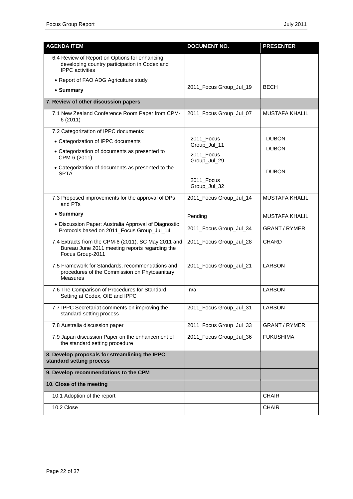| <b>AGENDA ITEM</b>                                                                                                        | <b>DOCUMENT NO.</b>        | <b>PRESENTER</b>      |
|---------------------------------------------------------------------------------------------------------------------------|----------------------------|-----------------------|
| 6.4 Review of Report on Options for enhancing<br>developing country participation in Codex and<br><b>IPPC</b> activities  |                            |                       |
| • Report of FAO ADG Agriculture study                                                                                     |                            |                       |
| • Summary                                                                                                                 | 2011_Focus Group_Jul_19    | <b>BECH</b>           |
| 7. Review of other discussion papers                                                                                      |                            |                       |
| 7.1 New Zealand Conference Room Paper from CPM-<br>6(2011)                                                                | 2011_Focus Group_Jul_07    | <b>MUSTAFA KHALIL</b> |
| 7.2 Categorization of IPPC documents:                                                                                     |                            |                       |
| • Categorization of IPPC documents                                                                                        | 2011_Focus<br>Group_Jul_11 | <b>DUBON</b>          |
| • Categorization of documents as presented to<br>CPM-6 (2011)                                                             | 2011_Focus<br>Group_Jul_29 | <b>DUBON</b>          |
| • Categorization of documents as presented to the<br><b>SPTA</b>                                                          |                            | <b>DUBON</b>          |
|                                                                                                                           | 2011_Focus<br>Group_Jul_32 |                       |
| 7.3 Proposed improvements for the approval of DPs<br>and PTs                                                              | 2011_Focus Group_Jul_14    | <b>MUSTAFA KHALIL</b> |
| • Summary                                                                                                                 | Pending                    | <b>MUSTAFA KHALIL</b> |
| • Discussion Paper: Australia Approval of Diagnostic<br>Protocols based on 2011_Focus Group_Jul_14                        | 2011_Focus Group_Jul_34    | <b>GRANT / RYMER</b>  |
| 7.4 Extracts from the CPM-6 (2011), SC May 2011 and<br>Bureau June 2011 meeting reports regarding the<br>Focus Group-2011 | 2011_Focus Group_Jul_28    | <b>CHARD</b>          |
| 7.5 Framework for Standards, recommendations and<br>procedures of the Commission on Phytosanitary<br><b>Measures</b>      | 2011_Focus Group_Jul_21    | <b>LARSON</b>         |
| 7.6 The Comparison of Procedures for Standard<br>Setting at Codex, OIE and IPPC                                           | n/a                        | <b>LARSON</b>         |
| 7.7 IPPC Secretariat comments on improving the<br>standard setting process                                                | 2011_Focus Group_Jul_31    | <b>LARSON</b>         |
| 7.8 Australia discussion paper                                                                                            | 2011_Focus Group_Jul_33    | GRANT / RYMER         |
| 7.9 Japan discussion Paper on the enhancement of<br>the standard setting procedure                                        | 2011_Focus Group_Jul_36    | <b>FUKUSHIMA</b>      |
| 8. Develop proposals for streamlining the IPPC<br>standard setting process                                                |                            |                       |
| 9. Develop recommendations to the CPM                                                                                     |                            |                       |
| 10. Close of the meeting                                                                                                  |                            |                       |
| 10.1 Adoption of the report                                                                                               |                            | <b>CHAIR</b>          |
| 10.2 Close                                                                                                                |                            | <b>CHAIR</b>          |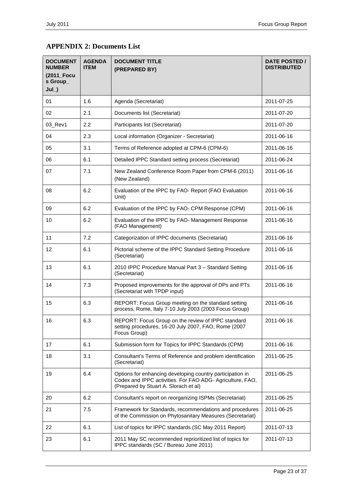# <span id="page-22-0"></span>**APPENDIX 2: Documents List**

| <b>DOCUMENT</b><br><b>NUMBER</b><br>(2011_Focu<br>s Group_<br>$Jul$ ) | <b>AGENDA</b><br><b>ITEM</b> | <b>DOCUMENT TITLE</b><br>(PREPARED BY)                                                                                                                          | <b>DATE POSTED /</b><br><b>DISTRIBUTED</b> |
|-----------------------------------------------------------------------|------------------------------|-----------------------------------------------------------------------------------------------------------------------------------------------------------------|--------------------------------------------|
| 01                                                                    | 1.6                          | Agenda (Secretariat)                                                                                                                                            | 2011-07-25                                 |
| 02                                                                    | 2.1                          | Documents list (Secretariat)                                                                                                                                    | 2011-07-20                                 |
| 03_Rev1                                                               | 2.2                          | Participants list (Secretariat)                                                                                                                                 | 2011-07-20                                 |
| 04                                                                    | 2.3                          | Local information (Organizer - Secretariat)                                                                                                                     | 2011-06-16                                 |
| 05                                                                    | 3.1                          | Terms of Reference adopted at CPM-6 (CPM-6)                                                                                                                     | 2011-06-16                                 |
| 06                                                                    | 6.1                          | Detailed IPPC Standard setting process (Secretariat)                                                                                                            | 2011-06-24                                 |
| 07                                                                    | 7.1                          | New Zealand Conference Room Paper from CPM-6 (2011)<br>(New Zealand)                                                                                            | 2011-06-16                                 |
| 08                                                                    | 6.2                          | Evaluation of the IPPC by FAO- Report (FAO Evaluation<br>Unit)                                                                                                  | 2011-06-16                                 |
| 09                                                                    | 6.2                          | Evaluation of the IPPC by FAO- CPM Response (CPM)                                                                                                               | 2011-06-16                                 |
| 10                                                                    | 6.2                          | Evaluation of the IPPC by FAO- Management Response<br>(FAO Management)                                                                                          | 2011-06-16                                 |
| 11                                                                    | 7.2                          | Categorization of IPPC documents (Secretariat)                                                                                                                  | 2011-06-16                                 |
| 12                                                                    | 6.1                          | Pictorial scheme of the IPPC Standard Setting Procedure<br>(Secretariat)                                                                                        | 2011-06-16                                 |
| 13                                                                    | 6.1                          | 2010 IPPC Procedure Manual Part 3 - Standard Setting<br>(Secretariat)                                                                                           | 2011-06-16                                 |
| 14                                                                    | 7.3                          | Proposed improvements for the approval of DPs and PTs<br>(Secretariat with TPDP input)                                                                          | 2011-06-16                                 |
| 15                                                                    | 6.3                          | REPORT: Focus Group meeting on the standard setting<br>process, Rome, Italy 7-10 July 2003 (2003 Focus Group)                                                   | 2011-06-16                                 |
| 16                                                                    | 6.3                          | REPORT: Focus Group on the review of IPPC standard<br>setting procedures, 16-20 July 2007, FAO, Rome (2007<br>Focus Group)                                      | 2011-06-16                                 |
| 17                                                                    | 6.1                          | Submission form for Topics for IPPC Standards (CPM)                                                                                                             | 2011-06-16                                 |
| 18                                                                    | 3.1                          | Consultant's Terms of Reference and problem identification<br>(Secretariat)                                                                                     | 2011-06-25                                 |
| 19                                                                    | 6.4                          | Options for enhancing developing country participation in<br>Codex and IPPC activities. For FAO ADG- Agriculture, FAO,<br>(Prepared by Stuart A. Slorach et al) | 2011-06-25                                 |
| 20                                                                    | 6.2                          | Consultant's report on reorganizing ISPMs (Secretariat)                                                                                                         | 2011-06-25                                 |
| 21                                                                    | 7.5                          | Framework for Standards, recommendations and procedures<br>of the Commission on Phytosanitary Measures (Secretariat)                                            | 2011-06-25                                 |
| 22                                                                    | 6.1                          | List of topics for IPPC standards (SC May 2011 Report)                                                                                                          | 2011-07-13                                 |
| 23                                                                    | 6.1                          | 2011 May SC recommended reprioritized list of topics for<br>IPPC standards (SC / Bureau June 2011)                                                              | 2011-07-13                                 |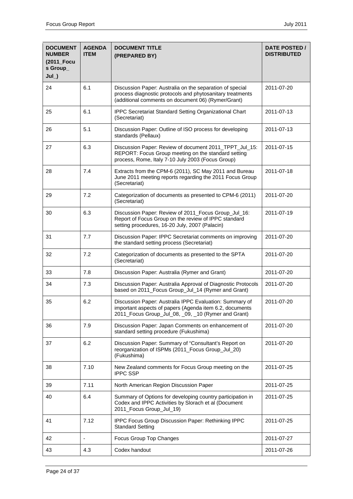| <b>DOCUMENT</b><br><b>NUMBER</b><br>(2011_Focu<br>s Group_<br>$Jul_$ ) | <b>AGENDA</b><br><b>ITEM</b> | <b>DOCUMENT TITLE</b><br>(PREPARED BY)                                                                                                                                      | DATE POSTED /<br><b>DISTRIBUTED</b> |
|------------------------------------------------------------------------|------------------------------|-----------------------------------------------------------------------------------------------------------------------------------------------------------------------------|-------------------------------------|
| 24                                                                     | 6.1                          | Discussion Paper: Australia on the separation of special<br>process diagnostic protocols and phytosanitary treatments<br>(additional comments on document 06) (Rymer/Grant) | 2011-07-20                          |
| 25                                                                     | 6.1                          | IPPC Secretariat Standard Setting Organizational Chart<br>(Secretariat)                                                                                                     | 2011-07-13                          |
| 26                                                                     | 5.1                          | Discussion Paper: Outline of ISO process for developing<br>standards (Pellaux)                                                                                              | 2011-07-13                          |
| 27                                                                     | 6.3                          | Discussion Paper: Review of document 2011_TPPT_Jul_15:<br>REPORT: Focus Group meeting on the standard setting<br>process, Rome, Italy 7-10 July 2003 (Focus Group)          | 2011-07-15                          |
| 28                                                                     | 7.4                          | Extracts from the CPM-6 (2011), SC May 2011 and Bureau<br>June 2011 meeting reports regarding the 2011 Focus Group<br>(Secretariat)                                         | 2011-07-18                          |
| 29                                                                     | 7.2                          | Categorization of documents as presented to CPM-6 (2011)<br>(Secretariat)                                                                                                   | 2011-07-20                          |
| 30                                                                     | 6.3                          | Discussion Paper: Review of 2011_Focus Group_Jul_16:<br>Report of Focus Group on the review of IPPC standard<br>setting procedures, 16-20 July, 2007 (Palacin)              | 2011-07-19                          |
| 31                                                                     | 7.7                          | Discussion Paper: IPPC Secretariat comments on improving<br>the standard setting process (Secretariat)                                                                      | 2011-07-20                          |
| 32                                                                     | 7.2                          | Categorization of documents as presented to the SPTA<br>(Secretariat)                                                                                                       | 2011-07-20                          |
| 33                                                                     | 7.8                          | Discussion Paper: Australia (Rymer and Grant)                                                                                                                               | 2011-07-20                          |
| 34                                                                     | 7.3                          | Discussion Paper: Australia Approval of Diagnostic Protocols<br>based on 2011_Focus Group_Jul_14 (Rymer and Grant)                                                          | 2011-07-20                          |
| 35                                                                     | 6.2                          | Discussion Paper: Australia IPPC Evaluation: Summary of<br>important aspects of papers (Agenda item 6.2, documents<br>2011_Focus Group_Jul_08, _09, _10 (Rymer and Grant)   | 2011-07-20                          |
| 36                                                                     | 7.9                          | Discussion Paper: Japan Comments on enhancement of<br>standard setting procedure (Fukushima)                                                                                | 2011-07-20                          |
| 37                                                                     | 6.2                          | Discussion Paper: Summary of "Consultant's Report on<br>reorganization of ISPMs (2011_Focus Group_Jul_20)<br>(Fukushima)                                                    | 2011-07-20                          |
| 38                                                                     | 7.10                         | New Zealand comments for Focus Group meeting on the<br><b>IPPC SSP</b>                                                                                                      | 2011-07-25                          |
| 39                                                                     | 7.11                         | North American Region Discussion Paper                                                                                                                                      | 2011-07-25                          |
| 40                                                                     | 6.4                          | Summary of Options for developing country participation in<br>Codex and IPPC Activities by Slorach et al (Document<br>2011_Focus Group_Jul_19)                              | 2011-07-25                          |
| 41                                                                     | 7.12                         | IPPC Focus Group Discussion Paper: Rethinking IPPC<br><b>Standard Setting</b>                                                                                               | 2011-07-25                          |
| 42                                                                     |                              | Focus Group Top Changes                                                                                                                                                     | 2011-07-27                          |
| 43                                                                     | 4.3                          | Codex handout                                                                                                                                                               | 2011-07-26                          |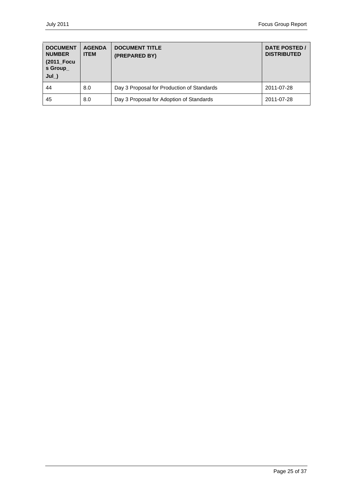| <b>DOCUMENT</b><br><b>NUMBER</b><br>(2011_Focu<br>s Group_<br>$Jul$ ) | <b>AGENDA</b><br><b>ITEM</b> | <b>DOCUMENT TITLE</b><br>(PREPARED BY)     | <b>DATE POSTED /</b><br><b>DISTRIBUTED</b> |
|-----------------------------------------------------------------------|------------------------------|--------------------------------------------|--------------------------------------------|
| 44                                                                    | 8.0                          | Day 3 Proposal for Production of Standards | 2011-07-28                                 |
| 45                                                                    | 8.0                          | Day 3 Proposal for Adoption of Standards   | 2011-07-28                                 |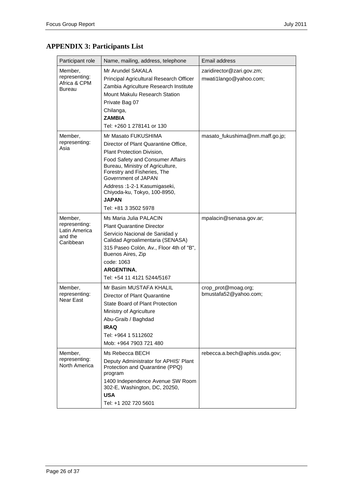| Participant role                                                  | Name, mailing, address, telephone                                                                                                                                                                                                                                                                                               | Email address                                       |
|-------------------------------------------------------------------|---------------------------------------------------------------------------------------------------------------------------------------------------------------------------------------------------------------------------------------------------------------------------------------------------------------------------------|-----------------------------------------------------|
| Member,<br>representing:<br>Africa & CPM<br>Bureau                | Mr Arundel SAKALA<br>Principal Agricultural Research Officer<br>Zambia Agriculture Research Institute<br>Mount Makulu Research Station<br>Private Bag 07<br>Chilanga,<br><b>ZAMBIA</b><br>Tel: +260 1 278141 or 130                                                                                                             | zaridirector@zari.gov.zm;<br>mwati1lango@yahoo.com; |
| Member,<br>representing:<br>Asia                                  | Mr Masato FUKUSHIMA<br>Director of Plant Quarantine Office,<br>Plant Protection Division,<br>Food Safety and Consumer Affairs<br>Bureau, Ministry of Agriculture,<br>Forestry and Fisheries, The<br>Government of JAPAN<br>Address: 1-2-1 Kasumigaseki,<br>Chiyoda-ku, Tokyo, 100-8950,<br><b>JAPAN</b><br>Tel: +81 3 3502 5978 | masato_fukushima@nm.maff.go.jp;                     |
| Member,<br>representing:<br>Latin America<br>and the<br>Caribbean | Ms Maria Julia PALACIN<br><b>Plant Quarantine Director</b><br>Servicio Nacional de Sanidad y<br>Calidad Agroalimentaria (SENASA)<br>315 Paseo Colón, Av., Floor 4th of "B",<br>Buenos Aires, Zip<br>code: 1063<br><b>ARGENTINA.</b><br>Tel: +54 11 4121 5244/5167                                                               | mpalacin@senasa.gov.ar;                             |
| Member,<br>representing:<br><b>Near East</b>                      | Mr Basim MUSTAFA KHALIL<br>Director of Plant Quarantine<br>State Board of Plant Protection<br>Ministry of Agriculture<br>Abu-Graib / Baghdad<br><b>IRAQ</b><br>Tel: +964 1 5112602<br>Mob: +964 7903 721 480                                                                                                                    | crop_prot@moag.org;<br>bmustafa52@yahoo.com;        |
| Member,<br>representing:<br>North America                         | Ms Rebecca BECH<br>Deputy Administrator for APHIS' Plant<br>Protection and Quarantine (PPQ)<br>program<br>1400 Independence Avenue SW Room<br>302-E, Washington, DC, 20250,<br><b>USA</b><br>Tel: +1 202 720 5601                                                                                                               | rebecca.a.bech@aphis.usda.gov;                      |

# <span id="page-25-0"></span>**APPENDIX 3: Participants List**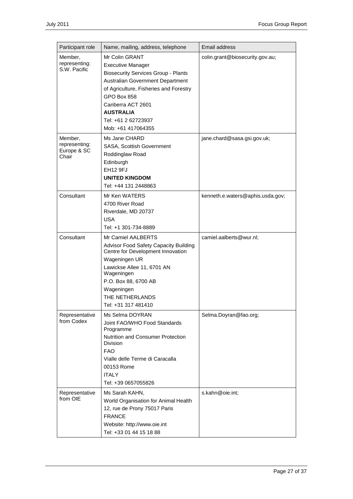| Participant role                                                     | Name, mailing, address, telephone                                                                                                                                                                                                                                                                                         | Email address                                                  |
|----------------------------------------------------------------------|---------------------------------------------------------------------------------------------------------------------------------------------------------------------------------------------------------------------------------------------------------------------------------------------------------------------------|----------------------------------------------------------------|
| Member,<br>representing:<br>S.W. Pacific<br>Member,<br>representing: | Mr Colin GRANT<br><b>Executive Manager</b><br><b>Biosecurity Services Group - Plants</b><br>Australian Government Department<br>of Agriculture, Fisheries and Forestry<br>GPO Box 858<br>Canberra ACT 2601<br><b>AUSTRALIA</b><br>Tel: +61 2 62723937<br>Mob: +61 417064355<br>Ms Jane CHARD<br>SASA, Scottish Government | colin.grant@biosecurity.gov.au;<br>jane.chard@sasa.gsi.gov.uk; |
| Europe & SC<br>Chair                                                 | Roddinglaw Road<br>Edinburgh<br>EH12 9FJ<br><b>UNITED KINGDOM</b><br>Tel: +44 131 2448863                                                                                                                                                                                                                                 |                                                                |
| Consultant                                                           | Mr Ken WATERS<br>4700 River Road<br>Riverdale, MD 20737<br><b>USA</b><br>Tel: +1 301-734-8889                                                                                                                                                                                                                             | kenneth.e.waters@aphis.usda.gov;                               |
| Consultant                                                           | Mr Camiel AALBERTS<br>Advisor Food Safety Capacity Building<br>Centre for Development Innovation<br>Wageningen UR<br>Lawickse Allee 11, 6701 AN<br>Wageningen<br>P.O. Box 88, 6700 AB<br>Wageningen<br>THE NETHERLANDS<br>Tel: +31 317 481410                                                                             | camiel.aalberts@wur.nl;                                        |
| Representative<br>from Codex                                         | Ms Selma DOYRAN<br>Joint FAO/WHO Food Standards<br>Programme<br><b>Nutrition and Consumer Protection</b><br><b>Division</b><br><b>FAO</b><br>Vialle delle Terme di Caracalla<br>00153 Rome<br><b>ITALY</b><br>Tel: +39 0657055826                                                                                         | Selma.Doyran@fao.org;                                          |
| Representative<br>from OIE                                           | Ms Sarah KAHN,<br>World Organisation for Animal Health<br>12, rue de Prony 75017 Paris<br><b>FRANCE</b><br>Website: http://www.oie.int<br>Tel: +33 01 44 15 18 88                                                                                                                                                         | s.kahn@oie.int;                                                |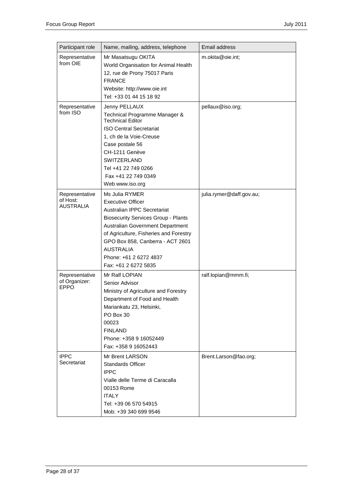| Participant role                               | Name, mailing, address, telephone                                                                                                                                                                                                                                                                               | Email address            |
|------------------------------------------------|-----------------------------------------------------------------------------------------------------------------------------------------------------------------------------------------------------------------------------------------------------------------------------------------------------------------|--------------------------|
| Representative<br>from OIE                     | Mr Masatsugu OKITA<br>World Organisation for Animal Health<br>12, rue de Prony 75017 Paris<br><b>FRANCE</b><br>Website: http://www.oie.int<br>Tel: +33 01 44 15 18 92                                                                                                                                           | m.okita@oie.int;         |
| Representative<br>from $ISO$                   | Jenny PELLAUX<br>Technical Programme Manager &<br><b>Technical Editor</b><br><b>ISO Central Secretariat</b><br>1, ch de la Voie-Creuse<br>Case postale 56<br>CH-1211 Genève<br><b>SWITZERLAND</b><br>Tel +41 22 749 0266<br>Fax +41 22 749 0349<br>Web www.iso.org                                              | pellaux@iso.org;         |
| Representative<br>of Host:<br><b>AUSTRALIA</b> | Ms Julia RYMER<br><b>Executive Officer</b><br>Australian IPPC Secretariat<br><b>Biosecurity Services Group - Plants</b><br>Australian Government Department<br>of Agriculture, Fisheries and Forestry<br>GPO Box 858, Canberra - ACT 2601<br><b>AUSTRALIA</b><br>Phone: +61 2 6272 4837<br>Fax: +61 2 6272 5835 | julia.rymer@daff.gov.au; |
| Representative<br>of Organizer:<br><b>EPPO</b> | Mr Ralf LOPIAN<br>Senior Advisor<br>Ministry of Agriculture and Forestry<br>Department of Food and Health<br>Mariankatu 23, Helsinki,<br>PO Box 30<br>00023<br><b>FINLAND</b><br>Phone: +358 9 16052449<br>Fax: +358 9 16052443                                                                                 | ralf.lopian@mmm.fi;      |
| <b>IPPC</b><br>Secretariat                     | Mr Brent LARSON<br><b>Standards Officer</b><br><b>IPPC</b><br>Vialle delle Terme di Caracalla<br>00153 Rome<br><b>ITALY</b><br>Tel: +39 06 570 54915<br>Mob: +39 340 699 9546                                                                                                                                   | Brent.Larson@fao.org;    |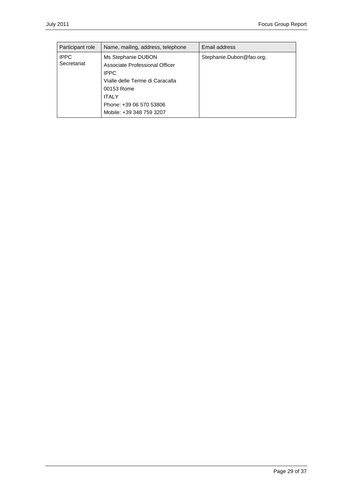| Participant role           | Name, mailing, address, telephone                                                                                                                                                           | Email address            |
|----------------------------|---------------------------------------------------------------------------------------------------------------------------------------------------------------------------------------------|--------------------------|
| <b>IPPC</b><br>Secretariat | Ms Stephanie DUBON<br>Associate Professional Officer<br><b>IPPC</b><br>Vialle delle Terme di Caracalla<br>00153 Rome<br><b>ITALY</b><br>Phone: +39 06 570 53806<br>Mobile: +39 348 759 3207 | Stephanie.Dubon@fao.org; |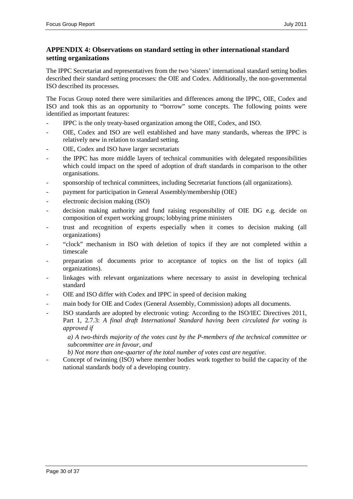# <span id="page-29-0"></span>**APPENDIX 4: Observations on standard setting in other international standard setting organizations**

The IPPC Secretariat and representatives from the two 'sisters' international standard setting bodies described their standard setting processes: the OIE and Codex. Additionally, the non-governmental ISO described its processes.

The Focus Group noted there were similarities and differences among the IPPC, OIE, Codex and ISO and took this as an opportunity to "borrow" some concepts. The following points were identified as important features:

- IPPC is the only treaty-based organization among the OIE, Codex, and ISO.
- OIE, Codex and ISO are well established and have many standards, whereas the IPPC is relatively new in relation to standard setting.
- OIE, Codex and ISO have larger secretariats
- the IPPC has more middle layers of technical communities with delegated responsibilities which could impact on the speed of adoption of draft standards in comparison to the other organisations.
- sponsorship of technical committees, including Secretariat functions (all organizations).
- payment for participation in General Assembly/membership (OIE)
- electronic decision making (ISO)
- decision making authority and fund raising responsibility of OIE DG e.g. decide on composition of expert working groups; lobbying prime ministers
- trust and recognition of experts especially when it comes to decision making (all organizations)
- "clock" mechanism in ISO with deletion of topics if they are not completed within a timescale
- preparation of documents prior to acceptance of topics on the list of topics (all organizations).
- linkages with relevant organizations where necessary to assist in developing technical standard
- OIE and ISO differ with Codex and IPPC in speed of decision making
- main body for OIE and Codex (General Assembly, Commission) adopts all documents.
- ISO standards are adopted by electronic voting: According to the ISO/IEC Directives 2011, Part 1, 2.7.3: *A final draft International Standard having been circulated for voting is approved if*

*a) A two-thirds majority of the votes cast by the P-members of the technical committee or subcommittee are in favour, and* 

*b) Not more than one-quarter of the total number of votes cast are negative*.

Concept of twinning (ISO) where member bodies work together to build the capacity of the national standards body of a developing country.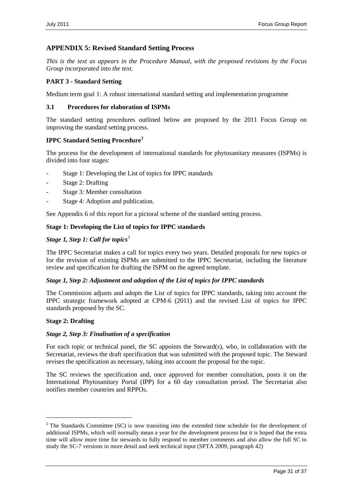# <span id="page-30-0"></span>**APPENDIX 5: Revised Standard Setting Process**

*This is the text as appears in the Procedure Manual, with the proposed revisions by the Focus Group incorporated into the text.*

### **PART 3 - Standard Setting**

Medium term goal 1: A robust international standard setting and implementation programme

### **3.1 Procedures for elaboration of ISPMs**

The standard setting procedures outlined below are proposed by the 2011 Focus Group on improving the standard setting process.

### **IPPC Standard Setting Procedure[2](#page-30-1)**

The process for the development of international standards for phytosanitary measures (ISPMs) is divided into four stages:

- Stage 1: Developing the List of topics for IPPC standards
- Stage 2: Drafting
- Stage 3: Member consultation
- Stage 4: Adoption and publication.

See Appendix 6 of this report for a pictoral scheme of the standard setting process.

### **Stage 1: Developing the List of topics for IPPC standards**

### *Stage 1, Step 1: Call for topics*<sup>[3](#page-30-2)</sup>

The IPPC Secretariat makes a call for topics every two years. Detailed proposals for new topics or for the revision of existing ISPMs are submitted to the IPPC Secretariat, including the literature review and specification for drafting the ISPM on the agreed template.

### *Stage 1, Step 2: Adjustment and adoption of the List of topics for IPPC standards*

The Commission adjusts and adopts the List of topics for IPPC standards, taking into account the IPPC strategic framework adopted at CPM-6 (2011) and the revised List of topics for IPPC standards proposed by the SC.

### **Stage 2: Drafting**

### *Stage 2, Step 3: Finalisation of a specification*

For each topic or technical panel, the SC appoints the Steward(s), who, in collaboration with the Secretariat, reviews the draft specification that was submitted with the proposed topic. The Steward revises the specification as necessary, taking into account the proposal for the topic.

The SC reviews the specification and, once approved for member consultation, posts it on the International Phytosanitary Portal (IPP) for a 60 day consultation period. The Secretariat also notifies member countries and RPPOs.

<span id="page-30-2"></span><span id="page-30-1"></span><sup>&</sup>lt;sup>2</sup> The Standards Committee (SC) is now transiting into the extended time schedule for the development of additional ISPMs, which will normally mean a year for the development process but it is hoped that the extra time will allow more time for stewards to fully respond to member comments and also allow the full SC to study the SC-7 versions in more detail and seek technical input (SPTA 2009, paragraph 42)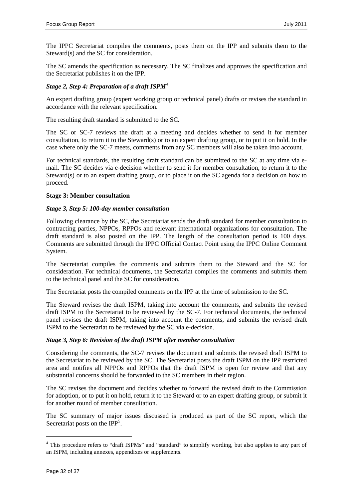The IPPC Secretariat compiles the comments, posts them on the IPP and submits them to the Steward(s) and the SC for consideration.

The SC amends the specification as necessary. The SC finalizes and approves the specification and the Secretariat publishes it on the IPP.

### *Stage 2, Step [4](#page-31-0): Preparation of a draft ISPM*<sup>4</sup>

An expert drafting group (expert working group or technical panel) drafts or revises the standard in accordance with the relevant specification.

The resulting draft standard is submitted to the SC.

The SC or SC-7 reviews the draft at a meeting and decides whether to send it for member consultation, to return it to the Steward(s) or to an expert drafting group, or to put it on hold. In the case where only the SC-7 meets, comments from any SC members will also be taken into account.

For technical standards, the resulting draft standard can be submitted to the SC at any time via email. The SC decides via e-decision whether to send it for member consultation, to return it to the Steward(s) or to an expert drafting group, or to place it on the SC agenda for a decision on how to proceed.

### **Stage 3: Member consultation**

### *Stage 3, Step 5: 100-day member consultation*

Following clearance by the SC, the Secretariat sends the draft standard for member consultation to contracting parties, NPPOs, RPPOs and relevant international organizations for consultation. The draft standard is also posted on the IPP. The length of the consultation period is 100 days. Comments are submitted through the IPPC Official Contact Point using the IPPC Online Comment System.

The Secretariat compiles the comments and submits them to the Steward and the SC for consideration. For technical documents, the Secretariat compiles the comments and submits them to the technical panel and the SC for consideration.

The Secretariat posts the compiled comments on the IPP at the time of submission to the SC.

The Steward revises the draft ISPM, taking into account the comments, and submits the revised draft ISPM to the Secretariat to be reviewed by the SC-7. For technical documents, the technical panel revises the draft ISPM, taking into account the comments, and submits the revised draft ISPM to the Secretariat to be reviewed by the SC via e-decision.

### *Stage 3, Step 6: Revision of the draft ISPM after member consultation*

Considering the comments, the SC-7 revises the document and submits the revised draft ISPM to the Secretariat to be reviewed by the SC. The Secretariat posts the draft ISPM on the IPP restricted area and notifies all NPPOs and RPPOs that the draft ISPM is open for review and that any substantial concerns should be forwarded to the SC members in their region.

The SC revises the document and decides whether to forward the revised draft to the Commission for adoption, or to put it on hold, return it to the Steward or to an expert drafting group, or submit it for another round of member consultation.

<span id="page-31-1"></span>The SC summary of major issues discussed is produced as part of the SC report, which the Secretariat posts on the IPP<sup>[5](#page-31-1)</sup>.

<span id="page-31-0"></span><sup>&</sup>lt;sup>4</sup> This procedure refers to "draft ISPMs" and "standard" to simplify wording, but also applies to any part of an ISPM, including annexes, appendixes or supplements.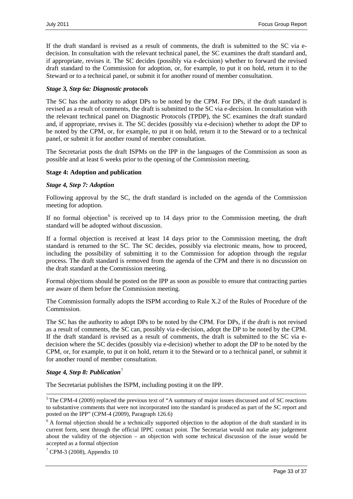If the draft standard is revised as a result of comments, the draft is submitted to the SC via edecision. In consultation with the relevant technical panel, the SC examines the draft standard and, if appropriate, revises it. The SC decides (possibly via e-decision) whether to forward the revised draft standard to the Commission for adoption, or, for example, to put it on hold, return it to the Steward or to a technical panel, or submit it for another round of member consultation.

### *Stage 3, Step 6a: Diagnostic protocols*

The SC has the authority to adopt DPs to be noted by the CPM. For DPs, if the draft standard is revised as a result of comments, the draft is submitted to the SC via e-decision. In consultation with the relevant technical panel on Diagnostic Protocols (TPDP), the SC examines the draft standard and, if appropriate, revises it. The SC decides (possibly via e-decision) whether to adopt the DP to be noted by the CPM, or, for example, to put it on hold, return it to the Steward or to a technical panel, or submit it for another round of member consultation.

The Secretariat posts the draft ISPMs on the IPP in the languages of the Commission as soon as possible and at least 6 weeks prior to the opening of the Commission meeting.

### **Stage 4: Adoption and publication**

### *Stage 4, Step 7: Adoption*

Following approval by the SC, the draft standard is included on the agenda of the Commission meeting for adoption.

If no formal objection<sup>[6](#page-32-0)</sup> is received up to 14 days prior to the Commission meeting, the draft standard will be adopted without discussion.

If a formal objection is received at least 14 days prior to the Commission meeting, the draft standard is returned to the SC. The SC decides, possibly via electronic means, how to proceed, including the possibility of submitting it to the Commission for adoption through the regular process. The draft standard is removed from the agenda of the CPM and there is no discussion on the draft standard at the Commission meeting.

Formal objections should be posted on the IPP as soon as possible to ensure that contracting parties are aware of them before the Commission meeting.

The Commission formally adopts the ISPM according to Rule X.2 of the Rules of Procedure of the Commission.

The SC has the authority to adopt DPs to be noted by the CPM. For DPs, if the draft is not revised as a result of comments, the SC can, possibly via e-decision, adopt the DP to be noted by the CPM. If the draft standard is revised as a result of comments, the draft is submitted to the SC via edecision where the SC decides (possibly via e-decision) whether to adopt the DP to be noted by the CPM, or, for example, to put it on hold, return it to the Steward or to a technical panel, or submit it for another round of member consultation.

### *Stage 4, Step 8: Publication*<sup>[7](#page-32-1)</sup>

The Secretariat publishes the ISPM, including posting it on the IPP.

<span id="page-32-1"></span> $7$  CPM-3 (2008), Appendix 10

<sup>&</sup>lt;sup>5</sup> The CPM-4 (2009) replaced the previous text of "A summary of major issues discussed and of SC reactions to substantive comments that were not incorporated into the standard is produced as part of the SC report and posted on the IPP" (CPM-4 (2009), Paragraph 126.6)

<span id="page-32-0"></span><sup>&</sup>lt;sup>6</sup> A formal objection should be a technically supported objection to the adoption of the draft standard in its current form, sent through the official IPPC contact point. The Secretariat would not make any judgement about the validity of the objection – an objection with some technical discussion of the issue would be accepted as a formal objection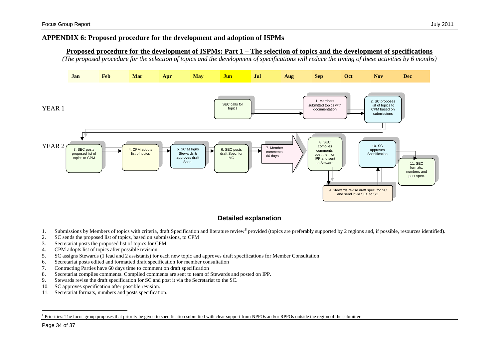# **APPENDIX 6: Proposed procedure for the development and adoption of ISPMs**

### <span id="page-33-1"></span>**Proposed procedure for the development of ISPMs: Part 1 – The selection of topics and the development of specifications**

*(The proposed procedure for the selection of topics and the development of specifications will reduce the timing of these activities by 6 months)*



# **Detailed explanation**

- <span id="page-33-0"></span>1. Submissions by Members of topics with criteria, draft Specification and literature review<sup>[8](#page-33-1)</sup> provided (topics are preferably supported by 2 regions and, if possible, resources identified).
- 2. SC sends the proposed list of topics, based on submissions, to CPM
- 3. Secretariat posts the proposed list of topics for CPM
- 4. CPM adopts list of topics after possible revision
- 5. SC assigns Stewards (1 lead and 2 assistants) for each new topic and approves draft specifications for Member Consultation
- 6. Secretariat posts edited and formatted draft specification for member consultation
- 7. Contracting Parties have 60 days time to comment on draft specification
- 8. Secretariat compiles comments. Compiled comments are sent to team of Stewards and posted on IPP.
- 9. Stewards revise the draft specification for SC and post it via the Secretariat to the SC.
- 10. SC approves specification after possible revision.
- 11. Secretariat formats, numbers and posts specification.

Priorities: The focus group proposes that priority be given to specification submitted with clear support from NPPOs and/or RPPOs outside the region of the submitter.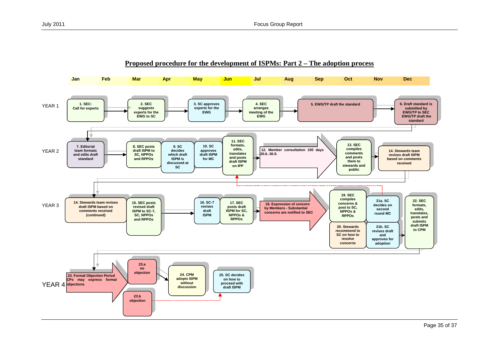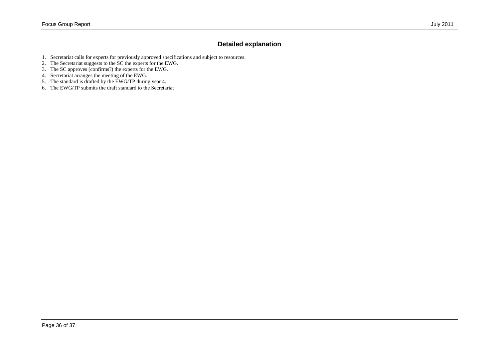# **Detailed explanation**

- 1. Secretariat calls for experts for previously approved specifications and subject to resources.
- 2. The Secretariat suggests to the SC the experts for the EWG.
- 3. The SC approves (confirms?) the experts for the EWG.
- 4. Secretariat arranges the meeting of the EWG.
- 5. The standard is drafted by the EWG/TP during year 4.
- 6. The EWG/TP submits the draft standard to the Secretariat